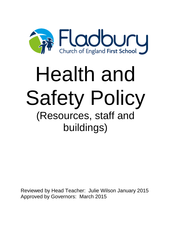

# Health and Safety Policy (Resources, staff and buildings)

Reviewed by Head Teacher: Julie Wilson January 2015 Approved by Governors: March 2015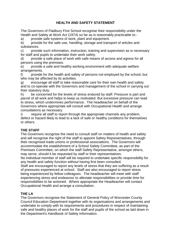# **HEALTH AND SAFETY STATEMENT**

The Governors of Fladbury First School recognise their responsibility under the Health and Safety at Work Act (1974) so far as is reasonably practicable to:-

a) provide safe systems of work, plant and equipment.

b) provide for the safe use, handling, storage and transport of articles and substances.

c) provide such information, instruction, training and supervision as is necessary for staff and pupils to undertake their work safely.

d) provide a safe place of work with safe means of access and egress for all persons using the premises.

e) provide a safe and healthy working environment with adequate welfare arrangements.

f) provide for the health and safety of persons not employed by the school, but who may be affected by its activities.

g) encourage all staff to take reasonable care for their own health and safety and to co-operate with the Governors and management of the school in carrying out their statutory duty.

h) be concerned for the levels of stress endured by staff. Pressure is part and parcel of all work and helps to keep us motivated. But excessive pressure can lead to stress, which undermines performance. The headteacher on behalf of the Governors where appropriate will consult with Occupational Health and arrange consultations as necessary.

i) require all staff to report through the appropriate channels any problem, defect or hazard likely to lead to a lack of safe or healthy conditions for themselves or others.

# **THE STAFF**

The Governors recognise the need to consult staff on matters of health and safety and will recognise the right of the staff to appoint Safety Representatives, through their recognised trade unions or professional associations. The Governors will accommodate the establishment of a School Safety Committee, as part of the Premises Committee, on which the staff Safety Representative, amongst others, may serve, should it be requested by staff or their representatives.

No individual member of staff will be required to undertake specific responsibility for any health and safety function without having first been consulted.

Staff are encouraged to report any levels of stress that they are suffering as a result of pressures experienced at school. Staff are also encouraged to report stress being experienced by fellow colleagues. The headteacher will meet with staff experiencing stress and endeavour to alleviate responsibilities or provide time for responsibilities to be actioned. Where appropriate the Headteacher will contact Occupational Health and arrange a consultation.

# **THE LA**

The Governors recognise the Statement of General Policy of Worcester County Council Education Department together with its organisations and arrangements and undertake to comply with its requirements and procedures in respect of maintaining safe and healthy places of work for the staff and pupils of the school as laid down in the Department's Handbook of Safety Information.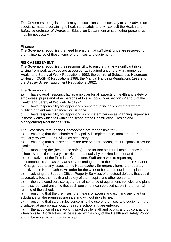The Governors recognise that it may on occasions be necessary to seek advice on specialist matters pertaining to health and safety and will consult the Health and Safety co-ordinator of Worcester Education Department or such other persons as may be necessary.

## **Finance**

The Governors recognise the need to ensure that sufficient funds are reserved for the maintenance of those items of premises and equipment.

# **RISK ASSESSMENT**

The Governors recognise their responsibility to ensure that any significant risks arising from work activities are assessed (as required under the Management of Health and Safety at Work Regulations 1992, the control of Substances Hazardous to Health (COSHH) Regulations 1988, the Manual Handling Regulations 1992 and the Display Screen Equipment Regulations 1992).

## The Governors:-

a) have overall responsibility as employer for all aspects of health and safety of employees, pupils and other persons at this school (under sections 2 and 3 of the Health and Safety at Work etc Act 1974).

b) have responsibility for appointing competent principal contractors where building or plant maintenance work is done.

c) have responsibility for appointing a competent person as Planning Supervisor in those works which fall within the scope of the Construction (Design and Management) Regulations 1994.

The Governors, through the Headteacher, are responsible for:-

a) ensuring that the school's safety policy is implemented, monitored and regularly reviewed and revised as necessary.

b) ensuring that sufficient funds are reserved for meeting their responsibilities for Health and Safety.

c) monitoring the (health and safety) need for non structural maintenance in the school. A condition survey is carried out annually by the Headteacher and representatives of the Premises Committee. Staff are asked to report any maintenance issues as they arise by recording them in the staff room. The Cleaner in Charge reports any issues to the Headteacher. Emergency items are reported directly to the Headteacher. An order for the work to be carried out is then placed.

d) advising the Support Officer Property Services of structural defects that could adversely affect the health and safety of staff, pupils and other persons.

e) the safe condition, storage and maintenance of equipment, vehicles and plant at the school, and ensuring that such equipment can be used safely in the normal running of the school.

f) ensuring that the premises, the means of access and exit, and any plant or substance on the premises are safe and without risks to health.

g) ensuring that safety rules concerning the use of premises and equipment are displayed at appropriate locations in the school and are enforced.

h) the adoption of safe working practices by staff and pupils, and by contractors when on site. Contractors will be issued with a copy of the Health and Safety Policy and to be asked to sign for its receipt.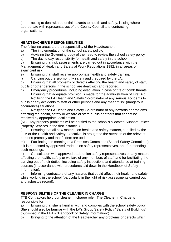i) acting to deal with potential hazards to health and safety, liaising where appropriate with representatives of the County Council and contracting organisations.

# **HEADTEACHER'S RESPONSIBILITIES**

The following areas are the responsibility of the Headteacher.

- a) The implementation of the school safety policy.
- b) Advising the Governing body of the need to review the school safety policy.

c) The day to day responsibility for health and safety in the school.

d) Ensuring that risk assessments are carried out in accordance with the Management of Health and Safety at Work Regulations 1992, in all areas of significant risk.

e) Ensuring that staff receive appropriate health and safety training.

f) Carrying out the six-monthly safety audit required by the LA.

g) Ensuring that all problems or defects affecting the health and safety of staff, pupils or other persons in the school are dealt with and reported.

h) Emergency procedures, including evacuation in case of fire or bomb threats.

i) Ensuring that adequate provision is made for the administration of First Aid.

j) Notifying the LA Health and Safety Co-ordinator of any serious accidents to pupils or any accidents to staff or other persons and any "near miss" (dangerous occurrence) situations. .

k) Notifying the LA Health and Safety Co-ordinator of any hazards or problems affecting the health, safety or welfare of staff, pupils or others that cannot be resolved by appropriate local action.

(NB. Any property problems will be notified to the school's allocated Support Officer Property Services in the first instance.)

l) Ensuring that all new material on health and safety matters, supplied by the LEA or the Health and Safety Executive, is brought to the attention of the relevant persons promptly and that folders are updated.

m) Facilitating the meeting of a Premises Committee (School Safety Committee), if it is requested by approved trade union safety representatives, and for attending such meetings.

n) Consultation with approved trade union safety representatives on any matters affecting the health, safety or welfare of any members of staff and for facilitating the carrying out of their duties, including safety inspections and attendance at training courses (in accordance with procedures laid down in the Handbook of Safety Information).

o) Informing contractors of any hazards that could affect their health and safety while working in the school (particularly in the light of risk assessments carried out and asbestos record).

# **RESPONSIBILITIES OF THE CLEANER IN CHARGE**

TTB Contractors hold our cleaner in charge role. The Cleaner in Charge is responsible for:

a) Ensuring that she is familiar with and complies with the school safety policy. She should also be familiar with the LA's Group Safety Policy "Safety of Buildings" (published in the LEA's "Handbook of Safety Information").

b) Bringing to the attention of the Headteacher any problems or defects which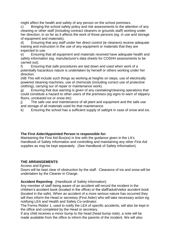might affect the health and safety of any person on the school premises.

c) Bringing the school safety policy and risk assessments to the attention of any cleaning or other staff (including contract cleaners or grounds staff) working under her direction, in so far as it affects the work of those persons (eg. in use and storage of equipment and materials).

d) Ensuring that any staff under her direct control (ie cleaners) receive adequate training and instruction in the use of any equipment or materials that they are expected to use.

e) Ensuring that all equipment and materials received have adequate health and safety information (eg. manufacturer's data sheets for COSHH assessments to be carried out).

f) Ensuring that safe procedures are laid down and used when work of a potentially hazardous nature is undertaken by herself or others working under her direction.

(NB This will include such things as working at heights on steps, use of electrically powered cleaning machines, use of chemicals (including correct use of protective clothing), carrying our of repair or maintenance work).

g) Ensuring that due warning is given of any caretaking/cleaning operations that could constitute a hazard to other users of the premises (eg signs to warn of slippery floors, uncleared ice or snow etc)

j) The safe use and maintenance of all plant and equipment and the safe use and storage of all materials used for that maintenance.

k) Ensuring the school has a sufficient supply of salt/grit in case of snow and ice.

# **The First Aider/Appointed Person is responsible for:**

Maintaining the First Aid Box(es) in line with the guidance given in the LA's Handbook of Safety Information and controlling and maintaining any other First Aid supplies as may be kept separately. (See Handbook of Safety Information).

## **THE ARRANGEMENTS**

Access and Egress:

Doors will be kept clear of obstruction by the staff. Clearance of ice and snow will be undertaken by the Cleaner in Charge.

**Accident Reporting**: (Handbook of Safety Information)

Any member of staff being aware of an accident will record the incident in the children's accident book (located in the office) or the staff/adult/visitor accident book (located in the safe). When an accident of a more serious nature has occurred they will then inform the Head or secretary (First Aider) who will take necessary action eg. notifying LEA and Health and Safety Co-ordinator.

The Forms Riddor 1, used to notify the LEA of specific accidents, will also be kept in the office and completed by the Head or secretary.

If any child receives a minor bump to the head (head bump note), a note will be made available from the office to inform the parents of the incident. We will also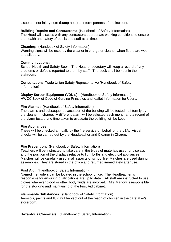issue a minor injury note (bump note) to inform parents of the incident.

## **Building Repairs and Contractors:** (Handbook of Safety Information)

The Head will discuss with any contractors appropriate working conditions to ensure the health and safety of pupils and staff at all times.

## **Cleaning:** (Handbook of Safety Information)

Warning signs will be used by the cleaner in charge or cleaner when floors are wet and slippery.

## **Communications:**

School Health and Safety Book. The Head or secretary will keep a record of any problems or defects reported to them by staff. The book shall be kept in the staffroom.

**Consultation:** Trade Union Safety Representative (Handbook of Safety Information)

**Display Screen Equipment (VDU's):** (Handbook of Safety Information) HWCC Booklet Code of Guiding Principles and leaflet Information for Users.

## **Fire Alarms:** (Handbook of Safety Information)

The alarms and subsequent evacuation of the building will be tested half termly by the cleaner in charge. A different alarm will be selected each month and a record of the alarm tested and time taken to evacuate the building will be kept.

## **Fire Appliances:**

These will be checked annually by the fire service on behalf of the LEA. Visual checks will be carried out by the Headteacher and Cleaner in Charge.

# **Fire Prevention:** (Handbook of Safety Information)

Teachers will be instructed to take care in the types of materials used for displays and the position of the displays relative to light bulbs and electrical appliances. Matches will be carefully used in all aspects of school life. Matches are used during assemblies. They are stored in the office and returned immediately after use.

## **First Aid:** (Handbook of Safety Information)

Named first aiders can be located in the school office. The Headteacher is responsible for ensuring qualifications are up to date. All staff are instructed to use gloves wherever blood or other body fluids are involved. Mrs Marlow is responsible for the stocking and maintaining of the First Aid cabinet.

## **Flammable Substances:** (Handbook of Safety Information)

Aerosols, paints and fluid will be kept out of the reach of children in the caretaker's storeroom.

**Hazardous Chemicals:** (Handbook of Safety Information)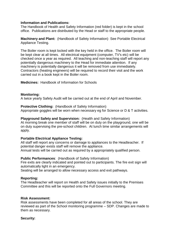## **Information and Publications:**

The Handbook of Health and Safety Information (red folder) is kept in the school office. Publications are distributed by the Head or staff to the appropriate people.

**Machinery and Plant:** (Handbook of Safety Information) See Portable Electrical Appliance Testing.

The Boiler room is kept locked with the key held in the office. The Boiler room will be kept clear at all times. All electrical equipment (computer, TV's etc) will be checked once a year as required. All teaching and non-teaching staff will report any potentially dangerous machinery to the Head for immediate attention. If any machinery is potentially dangerous it will be removed from use immediately. Contractors (heating engineers) will be required to record their visit and the work carried out in a book kept in the Boiler room.

**Medicines:** Handbook of Information for Schools

#### **Monitoring:**

A twice yearly Safety Audit will be carried out at the end of April and November.

**Protective Clothing:** (Handbook of Safety Information) Appropriate goggles will be worn when necessary eg for Science or D & T activities.

#### **Playground Safety and Supervision:** (Health and Safety Information)

At morning break one member of staff will be on duty on the playground, one will be on duty supervising the pre-school children. At lunch time similar arrangements will apply.

#### **Portable Electrical Appliance Testing:**

All staff will report any concerns or damage to appliances to the Headteacher. If potential danger exists staff will remove the appliance.

Annual tests will be carried out as required by a appropriately qualified person.

#### **Public Performances**: (Handbook of Safety Information)

Fire exits are clearly indicated and pointed out to participants. The fire exit sign will automatically light in an emergency.

Seating will be arranged to allow necessary access and exit pathways.

#### **Reporting:**

The Headteacher will report on Health and Safety issues initially to the Premises Committee and this will be reported onto the Full Governors meeting.

#### **Risk Assessment:**

Risk assessments have been completed for all areas of the school. They are reviewed as part of the School monitoring programme – SDP. Changes are made to them as necessary.

#### **Security:**